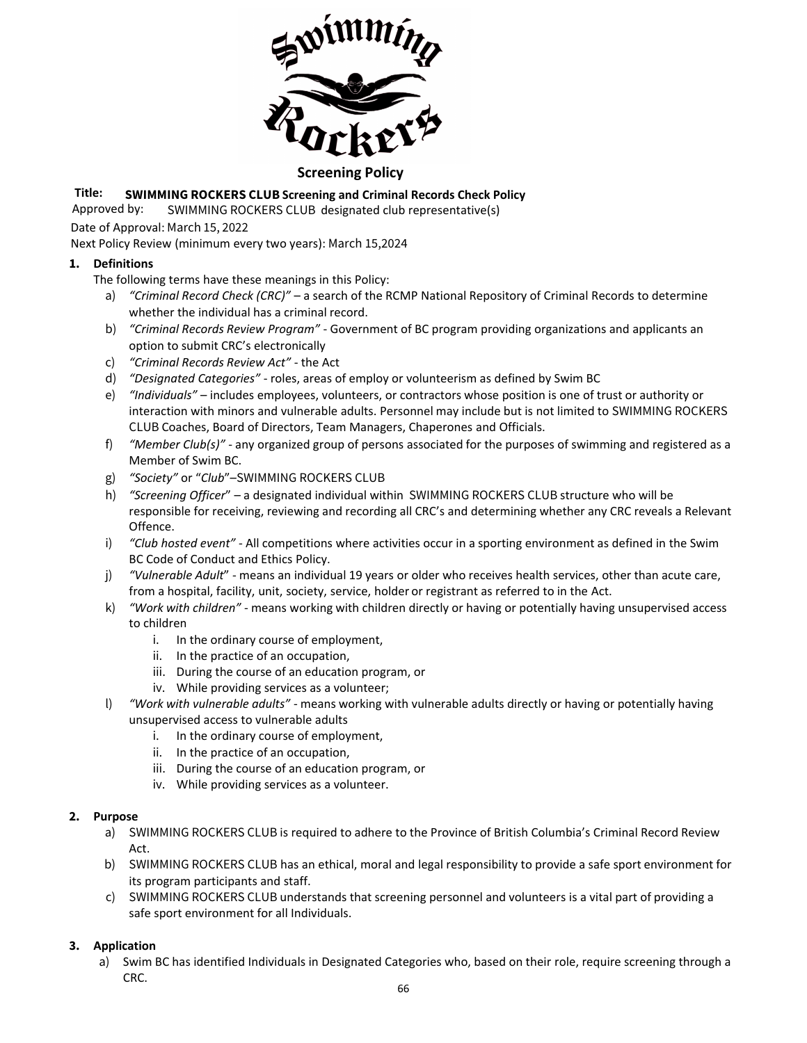

## **Screening Policy**

# **Title: SWIMMING ROCKERS CLUB Screening and Criminal Records Check Policy**

Approved by: SWIMMING ROCKERS CLUB designated club representative(s)

Date of Approval: March 15, 2022

Next Policy Review (minimum every two years): March 15,2024

### **1. Definitions**

- The following terms have these meanings in this Policy:
	- a) *"Criminal Record Check (CRC)"* a search of the RCMP National Repository of Criminal Records to determine whether the individual has a criminal record.
	- b) *"Criminal Records Review Program"* Government of BC program providing organizations and applicants an option to submit CRC's electronically
	- c) *"Criminal Records Review Act"* the Act
	- d) *"Designated Categories"* roles, areas of employ or volunteerism as defined by Swim BC
	- e) *"Individuals"* includes employees, volunteers, or contractors whose position is one of trust or authority or interaction with minors and vulnerable adults. Personnel may include but is not limited to SWIMMING ROCKERS CLUB Coaches, Board of Directors, Team Managers, Chaperones and Officials.
	- f) *"Member Club(s)"* any organized group of persons associated for the purposes of swimming and registered as a Member of Swim BC.
	- g) *"Society"* or "*Club*"–SWIMMING ROCKERS CLUB
	- h) *"Screening Officer*" a designated individual within SWIMMING ROCKERS CLUB structure who will be responsible for receiving, reviewing and recording all CRC's and determining whether any CRC reveals a Relevant Offence.
	- i) *"Club hosted event"* All competitions where activities occur in a sporting environment as defined in the Swim BC Code of Conduct and Ethics Policy.
	- j) *"Vulnerable Adult*" means an individual 19 years or older who receives health services, other than acute care, from a hospital, facility, unit, society, service, holder or registrant as referred to in the Act.
	- k) *"Work with children"* means working with children directly or having or potentially having unsupervised access to children
		- i. In the ordinary course of employment,
		- ii. In the practice of an occupation,
		- iii. During the course of an education program, or
		- iv. While providing services as a volunteer;
	- l) *"Work with vulnerable adults"* means working with vulnerable adults directly or having or potentially having unsupervised access to vulnerable adults
		- i. In the ordinary course of employment,
		- ii. In the practice of an occupation,
		- iii. During the course of an education program, or
		- iv. While providing services as a volunteer.

#### **2. Purpose**

- a) SWIMMING ROCKERS CLUB is required to adhere to the Province of British Columbia's Criminal Record Review Act.
- b) SWIMMING ROCKERS CLUB has an ethical, moral and legal responsibility to provide a safe sport environment for its program participants and staff.
- c) SWIMMING ROCKERS CLUB understands that screening personnel and volunteers is a vital part of providing a safe sport environment for all Individuals.

### **3. Application**

a) Swim BC has identified Individuals in Designated Categories who, based on their role, require screening through a CRC.